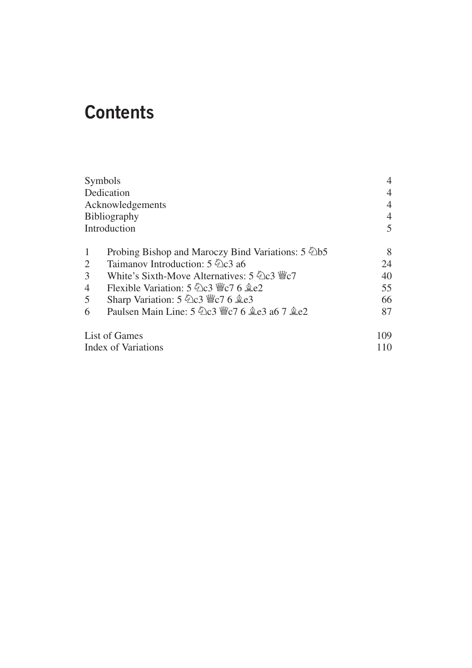# **Contents**

| Symbols<br>Dedication<br>Acknowledgements<br>Bibliography<br>Introduction |                                             | 4<br>4<br>4<br>5 |                |                                                         |    |
|---------------------------------------------------------------------------|---------------------------------------------|------------------|----------------|---------------------------------------------------------|----|
|                                                                           |                                             |                  | $\mathbf{1}$   | Probing Bishop and Maroczy Bind Variations: 5 2b5       | 8  |
|                                                                           |                                             |                  | $\overline{2}$ | Taimanov Introduction: 5 2 c3 a6                        | 24 |
|                                                                           |                                             |                  | $\overline{3}$ | White's Sixth-Move Alternatives: $5\angle 2c3 \angle 7$ | 40 |
|                                                                           |                                             |                  | 4              | Flexible Variation: 5 幻c3 響c7 6 奠e2                     | 55 |
| 5                                                                         | Sharp Variation: 5 2c3 營c7 6 奠e3            | 66               |                |                                                         |    |
| 6                                                                         | Paulsen Main Line: 5 幻c3 響c7 6 奠e3 a6 7 奠e2 | 87               |                |                                                         |    |
| <b>List of Games</b>                                                      |                                             | 109              |                |                                                         |    |
| <b>Index of Variations</b>                                                |                                             |                  |                |                                                         |    |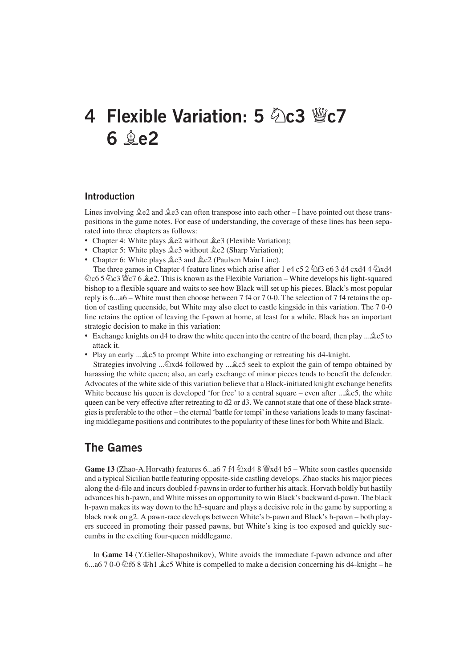## **4 Flexible Variation: 5 Ìc3 Ëc7 6 Íe2**

#### **Introduction**

Lines involving  $\angle$  e2 and  $\angle$  e3 can often transpose into each other – I have pointed out these transpositions in the game notes. For ease of understanding, the coverage of these lines has been separated into three chapters as follows:

- Chapter 4: White plays  $\triangleq$ e2 without  $\triangleq$ e3 (Flexible Variation);
- Chapter 5: White plays  $\triangleq$ e3 without  $\triangleq$ e2 (Sharp Variation);
- Chapter 6: White plays  $\triangleq$ e3 and  $\triangleq$ e2 (Paulsen Main Line).

The three games in Chapter 4 feature lines which arise after 1 e4 c5 2  $\circ$  f3 e6 3 d4 cxd4 4  $\circ$  xd4 **②c6 5 △c3 曾c7 6 ♀e2. This is known as the Flexible Variation – White develops his light-squared** bishop to a flexible square and waits to see how Black will set up his pieces. Black's most popular reply is 6...a6 – White must then choose between 7 f4 or 7 0-0. The selection of 7 f4 retains the option of castling queenside, but White may also elect to castle kingside in this variation. The 7 0-0 line retains the option of leaving the f-pawn at home, at least for a while. Black has an important strategic decision to make in this variation:

- Exchange knights on d4 to draw the white queen into the centre of the board, then play ...  $\&c$ 5 to attack it.
- Play an early ... $\triangle$ c5 to prompt White into exchanging or retreating his d4-knight.

Strategies involving ... $\∖ \&set$  followed by ... $\∖ c$  seek to exploit the gain of tempo obtained by harassing the white queen; also, an early exchange of minor pieces tends to benefit the defender. Advocates of the white side of this variation believe that a Black-initiated knight exchange benefits White because his queen is developed 'for free' to a central square – even after  $\ldots$   $\&c$  5, the white queen can be very effective after retreating to d2 or d3. We cannot state that one of these black strategies is preferable to the other – the eternal 'battle for tempi'in these variations leads to many fascinating middlegame positions and contributes to the popularity of these lines for both White and Black.

### **The Games**

**Game 13** (Zhao-A.Horvath) features 6...a6 7 f4  $\triangle$ xd4 8  $\cong$ xd4 b5 – White soon castles queenside and a typical Sicilian battle featuring opposite-side castling develops. Zhao stacks his major pieces along the d-file and incurs doubled f-pawns in order to further his attack. Horvath boldly but hastily advances his h-pawn, and White misses an opportunity to win Black's backward d-pawn. The black h-pawn makes its way down to the h3-square and plays a decisive role in the game by supporting a black rook on g2. A pawn-race develops between White's b-pawn and Black's h-pawn – both players succeed in promoting their passed pawns, but White's king is too exposed and quickly succumbs in the exciting four-queen middlegame.

In **Game 14** (Y.Geller-Shaposhnikov), White avoids the immediate f-pawn advance and after 6...a6 7 0-0  $\triangle$  f6 8  $\triangle$  h1  $\triangle$  c5 White is compelled to make a decision concerning his d4-knight – he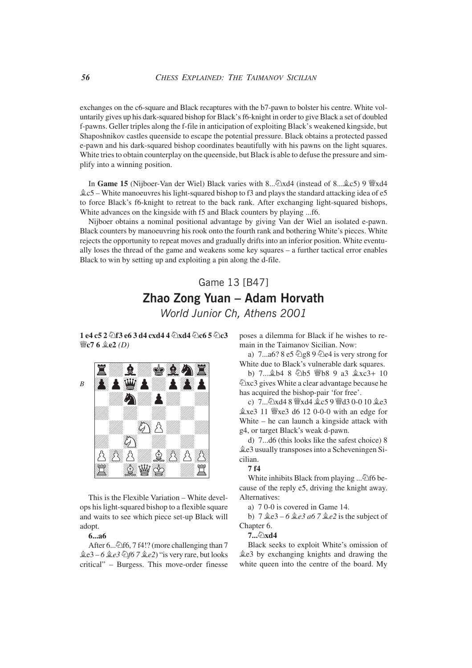exchanges on the c6-square and Black recaptures with the b7-pawn to bolster his centre. White voluntarily gives up his dark-squared bishop for Black's f6-knight in order to give Black a set of doubled f-pawns. Geller triples along the f-file in anticipation of exploiting Black's weakened kingside, but Shaposhnikov castles queenside to escape the potential pressure. Black obtains a protected passed e-pawn and his dark-squared bishop coordinates beautifully with his pawns on the light squares. White tries to obtain counterplay on the queenside, but Black is able to defuse the pressure and simplify into a winning position.

In **Game 15** (Nijboer-Van der Wiel) Black varies with  $8...\hat{2}xd4$  (instead of  $8...\hat{2}c5$ ) 9  $\ddot{8}xd4$  $Q_c$ 5 – White manoeuvres his light-squared bishop to f3 and plays the standard attacking idea of e5 to force Black's f6-knight to retreat to the back rank. After exchanging light-squared bishops, White advances on the kingside with f5 and Black counters by playing ...f6.

Nijboer obtains a nominal positional advantage by giving Van der Wiel an isolated e-pawn. Black counters by manoeuvring his rook onto the fourth rank and bothering White's pieces. White rejects the opportunity to repeat moves and gradually drifts into an inferior position. White eventually loses the thread of the game and weakens some key squares – a further tactical error enables Black to win by setting up and exploiting a pin along the d-file.

### Game 13 [B47] **Zhao Zong Yuan – Adam Horvath**

*World Junior Ch, Athens 2001*

**1 e4 c5 2**  $\hat{\varphi}$  **f3 e6 3 d4 cxd4 4**  $\hat{\varphi}$  **xd4**  $\hat{\varphi}$  **c6 5**  $\hat{\varphi}$  **c3 Ëc7 6 Íe2** *(D)*



This is the Flexible Variation – White develops his light-squared bishop to a flexible square and waits to see which piece set-up Black will adopt.

#### **6...a6**

After 6... $\triangle$ f6, 7 f4!? (more challenging than 7 Íe3 – *6 Íe3 Ìf6 7 Íe2*) "is very rare, but looks critical" – Burgess. This move-order finesse poses a dilemma for Black if he wishes to remain in the Taimanov Sicilian. Now:

a)  $7...a6? 8e5 \n\oslash g89 \n\oslash e4$  is very strong for White due to Black's vulnerable dark squares.

b)  $7 \dots \& b4 \& b5 \& b8 \& a3 \& xc3+10$  $\hat{\mathbb{Z}}$ xc3 gives White a clear advantage because he has acquired the bishop-pair 'for free'.

c) 7... 2xd4 8 *Wxd4 gc5 9 Wd3 0-0 10 ge3*  $\&$ xe3 11  $\&$ xe3 d6 12 0-0-0 with an edge for White – he can launch a kingside attack with g4, or target Black's weak d-pawn.

d) 7...d6 (this looks like the safest choice) 8 Íe3 usually transposes into a Scheveningen Sicilian.

#### **7 f4**

White inhibits Black from playing ... $\triangle$ f6 because of the reply e5, driving the knight away. Alternatives:

a) 7 0-0 is covered in Game 14.

b)  $7 \triangleleft e3 - 6 \triangleleft e3 a6 7 \triangleleft e2$  is the subject of Chapter 6.

#### 7...<sub></sub>①xd4

Black seeks to exploit White's omission of Íe3 by exchanging knights and drawing the white queen into the centre of the board. My